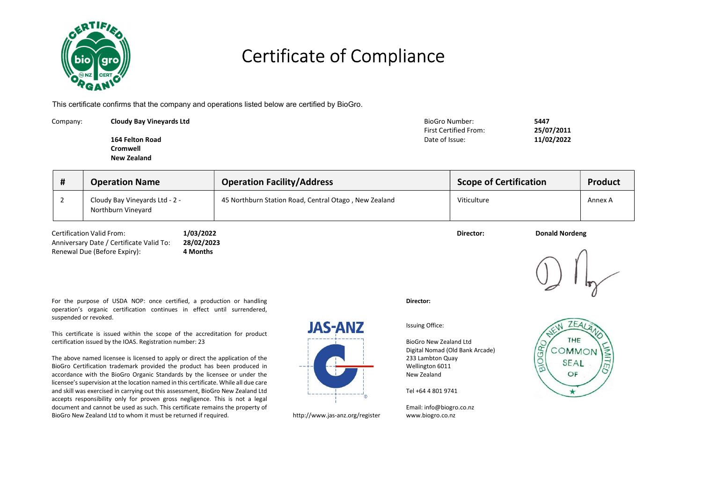

### Certificate of Compliance

This certificate confirms that the company and operations listed below are certified by BioGro.

| Company: | <b>Cloudy Bay Vineyards Ltd</b> | BioGro Number:        | 5447       |
|----------|---------------------------------|-----------------------|------------|
|          |                                 | First Certified From: | 25/07/2011 |
|          | 164 Felton Road                 | Date of Issue:        | 11/02/2022 |
|          | Cromwell                        |                       |            |
|          | New Zealand                     |                       |            |

| <b>Operation Name</b>                                | <b>Operation Facility/Address</b>                     | <b>Scope of Certification</b> | <b>Product</b> |
|------------------------------------------------------|-------------------------------------------------------|-------------------------------|----------------|
| Cloudy Bay Vineyards Ltd - 2 -<br>Northburn Vineyard | 45 Northburn Station Road, Central Otago, New Zealand | Viticulture                   | Annex A        |

Certification Valid From: 1/03/2022 1/03/2022 1/03/2022 1/03/2022 Director: Director: Donald Nordeng Anniversary Date / Certificate Valid To: 28/02/2023 Renewal Due (Before Expiry): 4 Months



For the purpose of USDA NOP: once certified, a production or handling operation's organic certification continues in effect until surrendered, suspended or revoked.

This certificate is issued within the scope of the accreditation for product certification issued by the IOAS. Registration number: 23

The above named licensee is licensed to apply or direct the application of the BioGro Certification trademark provided the product has been produced in accordance with the BioGro Organic Standards by the licensee or under the licensee's supervision at the location named in this certificate. While all due care and skill was exercised in carrying out this assessment, BioGro New Zealand Ltd accepts responsibility only for proven gross negligence. This is not a legal document and cannot be used as such. This certificate remains the property of BioGro New Zealand Ltd to whom it must be returned if required. http://www.jas-anz.org/register

# **JAS-ANZ**

Issuing Office:

Director:

BioGro New Zealand Ltd Digital Nomad (Old Bank Arcade) 233 Lambton Quay Wellington 6011 New Zealand

Tel +64 4 801 9741

Email: info@biogro.co.nz www.biogro.co.nz